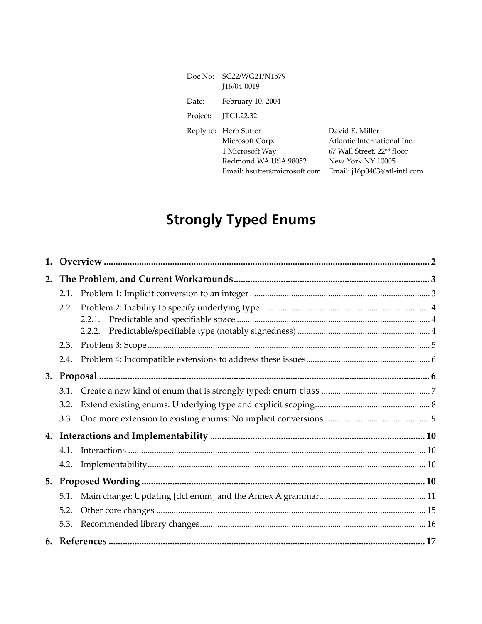| Doc No:  | SC22/WG21/N1579<br>I16/04-0019                                                                                      |                                                                                                                                               |
|----------|---------------------------------------------------------------------------------------------------------------------|-----------------------------------------------------------------------------------------------------------------------------------------------|
| Date:    | February 10, 2004                                                                                                   |                                                                                                                                               |
| Project: | JTC1.22.32                                                                                                          |                                                                                                                                               |
|          | Reply to: Herb Sutter<br>Microsoft Corp.<br>1 Microsoft Way<br>Redmond WA USA 98052<br>Email: hsutter@microsoft.com | David E. Miller<br>Atlantic International Inc.<br>67 Wall Street, 22 <sup>nd</sup> floor<br>New York NY 10005<br>Email: j16p0403@atl-intl.com |

# **Strongly Typed Enums**

|  | 2.1. |  |  |
|--|------|--|--|
|  | 2.2. |  |  |
|  |      |  |  |
|  |      |  |  |
|  | 2.3. |  |  |
|  |      |  |  |
|  |      |  |  |
|  |      |  |  |
|  | 3.2. |  |  |
|  | 3.3. |  |  |
|  |      |  |  |
|  | 4.1. |  |  |
|  | 4.2. |  |  |
|  |      |  |  |
|  | 5.1. |  |  |
|  | 5.2. |  |  |
|  | 5.3. |  |  |
|  |      |  |  |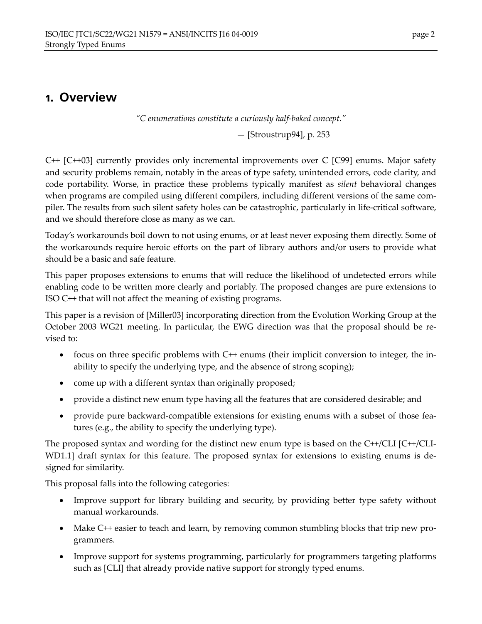### **1. Overview**

*ìC enumerations constitute a curiously half-baked concept.î* 

 $-$  [Stroustrup94], p. 253

C++ [C++03] currently provides only incremental improvements over C [C99] enums. Major safety and security problems remain, notably in the areas of type safety, unintended errors, code clarity, and code portability. Worse, in practice these problems typically manifest as *silent* behavioral changes when programs are compiled using different compilers, including different versions of the same compiler. The results from such silent safety holes can be catastrophic, particularly in life-critical software, and we should therefore close as many as we can.

Todayís workarounds boil down to not using enums, or at least never exposing them directly. Some of the workarounds require heroic efforts on the part of library authors and/or users to provide what should be a basic and safe feature.

This paper proposes extensions to enums that will reduce the likelihood of undetected errors while enabling code to be written more clearly and portably. The proposed changes are pure extensions to ISO C++ that will not affect the meaning of existing programs.

This paper is a revision of [Miller03] incorporating direction from the Evolution Working Group at the October 2003 WG21 meeting. In particular, the EWG direction was that the proposal should be revised to:

- focus on three specific problems with C++ enums (their implicit conversion to integer, the inability to specify the underlying type, and the absence of strong scoping);
- come up with a different syntax than originally proposed;
- provide a distinct new enum type having all the features that are considered desirable; and
- provide pure backward-compatible extensions for existing enums with a subset of those features (e.g., the ability to specify the underlying type).

The proposed syntax and wording for the distinct new enum type is based on the C++/CLI [C++/CLI-WD1.1] draft syntax for this feature. The proposed syntax for extensions to existing enums is designed for similarity.

This proposal falls into the following categories:

- Improve support for library building and security, by providing better type safety without manual workarounds.
- Make C++ easier to teach and learn, by removing common stumbling blocks that trip new programmers.
- Improve support for systems programming, particularly for programmers targeting platforms such as [CLI] that already provide native support for strongly typed enums.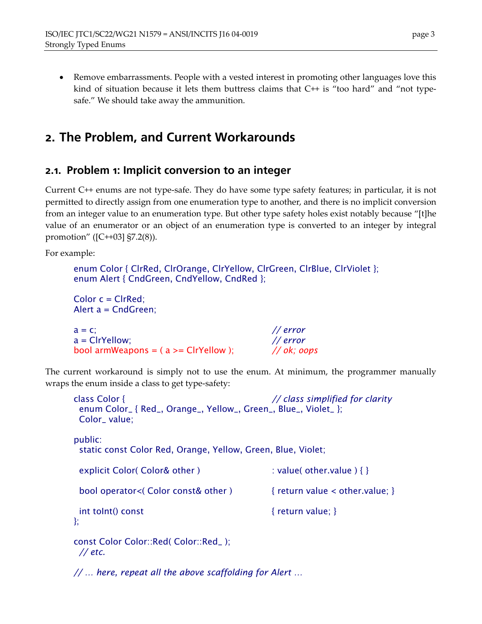• Remove embarrassments. People with a vested interest in promoting other languages love this kind of situation because it lets them buttress claims that  $C++$  is "too hard" and "not typesafe." We should take away the ammunition.

## **2. The Problem, and Current Workarounds**

#### **2.1. Problem 1: Implicit conversion to an integer**

Current C++ enums are not type-safe. They do have some type safety features; in particular, it is not permitted to directly assign from one enumeration type to another, and there is no implicit conversion from an integer value to an enumeration type. But other type safety holes exist notably because "[t]he value of an enumerator or an object of an enumeration type is converted to an integer by integral promotion" ( $[C+103]$  §7.2(8)).

For example:

```
enum Color { ClrRed, ClrOrange, ClrYellow, ClrGreen, ClrBlue, ClrViolet }; 
enum Alert { CndGreen, CndYellow, CndRed }; 
Color c = ClrRed; 
Alert a = CndGreen; 
a = c; // error 
a = ClrYellow; // error 
bool armWeapons = ( a >= ClrYellow ); // ok; oops
```
The current workaround is simply not to use the enum. At minimum, the programmer manually wraps the enum inside a class to get type-safety:

```
class Color { // class simplified for clarity 
  enum Color_ { Red_, Orange_, Yellow_, Green_, Blue_, Violet_ }; 
  Color_ value; 
public: 
  static const Color Red, Orange, Yellow, Green, Blue, Violet; 
 explicit Color( Color& other ) : value( other.value ) { }
  bool operator<( Color const& other ) { return value < other.value; } 
 int toInt() const { return value; }}; 
const Color Color::Red( Color::Red_ ); 
 // etc.
```
*// ... here, repeat all the above scaffolding for Alert ...*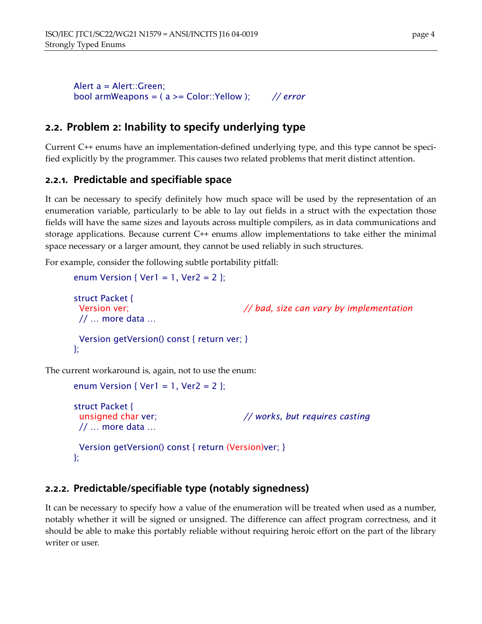Alert a = Alert::Green; bool armWeapons = ( a >= Color::Yellow ); *// error* 

### **2.2. Problem 2: Inability to specify underlying type**

Current C++ enums have an implementation-defined underlying type, and this type cannot be specified explicitly by the programmer. This causes two related problems that merit distinct attention.

#### **2.2.1. Predictable and specifiable space**

It can be necessary to specify definitely how much space will be used by the representation of an enumeration variable, particularly to be able to lay out fields in a struct with the expectation those fields will have the same sizes and layouts across multiple compilers, as in data communications and storage applications. Because current C++ enums allow implementations to take either the minimal space necessary or a larger amount, they cannot be used reliably in such structures.

For example, consider the following subtle portability pitfall:

```
enum Version { Ver1 = 1, Ver2 = 2 };
struct Packet { 
  Version ver; // bad, size can vary by implementation 
 1/ \ldots more data \ldots Version getVersion() const { return ver; } 
};
```
The current workaround is, again, not to use the enum:

```
enum Version { Ver1 = 1, Ver2 = 2 };
struct Packet { 
  unsigned char ver; // works, but requires casting 
 \frac{1}{2} ... more data ...
  Version getVersion() const { return (Version)ver; } 
};
```
#### **2.2.2. Predictable/specifiable type (notably signedness)**

It can be necessary to specify how a value of the enumeration will be treated when used as a number, notably whether it will be signed or unsigned. The difference can affect program correctness, and it should be able to make this portably reliable without requiring heroic effort on the part of the library writer or user.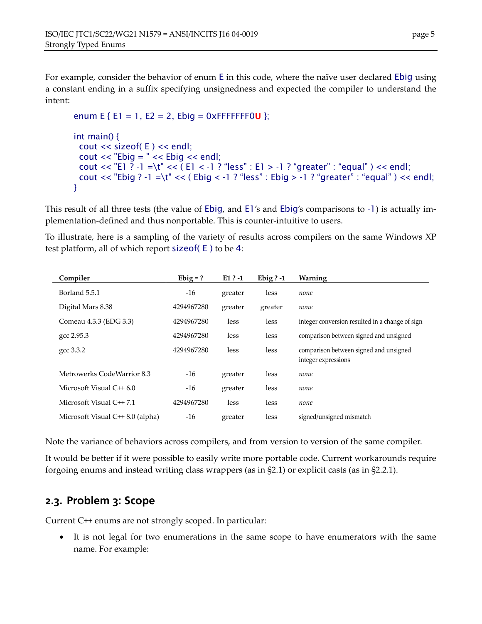For example, consider the behavior of enum E in this code, where the naïve user declared Ebig using a constant ending in a suffix specifying unsignedness and expected the compiler to understand the intent:

```
enum E { E1 = 1, E2 = 2, Ebig = 0xFFFFFFF0U };
int main() { 
  cout << sizeof( E ) << endl; 
  cout << "Ebig = " << Ebig << endl; 
 cout << "E1 ? -1 =\t" << ( E1 < -1 ? "less" : E1 > -1 ? "greater" : "equal" ) << endl;
 cout << "Ebig ? -1 =\t" << ( Ebig < -1 ? "less" : Ebig > -1 ? "greater" : "equal" ) << endl;
}
```
This result of all three tests (the value of Ebig, and E1's and Ebig's comparisons to -1) is actually implementation-defined and thus nonportable. This is counter-intuitive to users.

To illustrate, here is a sampling of the variety of results across compilers on the same Windows XP test platform, all of which report sizeof( E ) to be 4:

| Compiler                          | $Ebig = ?$ | $E1$ ? -1 | Ebig $? -1$ | Warning                                                       |
|-----------------------------------|------------|-----------|-------------|---------------------------------------------------------------|
| Borland 5.5.1                     | $-16$      | greater   | less        | none                                                          |
| Digital Mars 8.38                 | 4294967280 | greater   | greater     | none                                                          |
| Comeau 4.3.3 (EDG 3.3)            | 4294967280 | less      | less        | integer conversion resulted in a change of sign               |
| gcc 2.95.3                        | 4294967280 | less      | less        | comparison between signed and unsigned                        |
| gcc 3.3.2                         | 4294967280 | less      | less        | comparison between signed and unsigned<br>integer expressions |
| Metrowerks CodeWarrior 8.3        | $-16$      | greater   | less        | none                                                          |
| Microsoft Visual $C++6.0$         | $-16$      | greater   | less        | none                                                          |
| Microsoft Visual $C++7.1$         | 4294967280 | less      | less        | none                                                          |
| Microsoft Visual $C++8.0$ (alpha) | $-16$      | greater   | less        | signed/unsigned mismatch                                      |

Note the variance of behaviors across compilers, and from version to version of the same compiler.

It would be better if it were possible to easily write more portable code. Current workarounds require forgoing enums and instead writing class wrappers (as in ß2.1) or explicit casts (as in ß2.2.1).

#### **2.3. Problem 3: Scope**

Current C++ enums are not strongly scoped. In particular:

• It is not legal for two enumerations in the same scope to have enumerators with the same name. For example: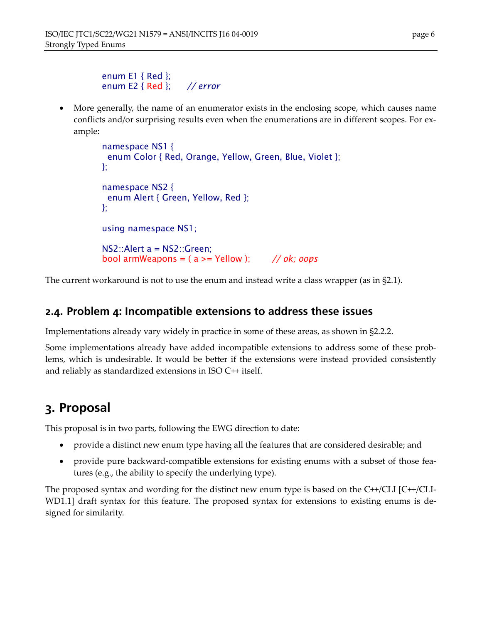```
enum E1 { Red }; 
enum E2 { Red }; // error
```
• More generally, the name of an enumerator exists in the enclosing scope, which causes name conflicts and/or surprising results even when the enumerations are in different scopes. For example:

```
namespace NS1 { 
  enum Color { Red, Orange, Yellow, Green, Blue, Violet }; 
}; 
namespace NS2 { 
  enum Alert { Green, Yellow, Red }; 
}; 
using namespace NS1; 
NS2::Alert a = NS2::Green; 
bool armWeapons = ( a >= Yellow ); // ok; oops
```
The current workaround is not to use the enum and instead write a class wrapper (as in §2.1).

#### **2.4. Problem 4: Incompatible extensions to address these issues**

Implementations already vary widely in practice in some of these areas, as shown in ß2.2.2.

Some implementations already have added incompatible extensions to address some of these problems, which is undesirable. It would be better if the extensions were instead provided consistently and reliably as standardized extensions in ISO C++ itself.

## **3. Proposal**

This proposal is in two parts, following the EWG direction to date:

- provide a distinct new enum type having all the features that are considered desirable; and
- provide pure backward-compatible extensions for existing enums with a subset of those features (e.g., the ability to specify the underlying type).

The proposed syntax and wording for the distinct new enum type is based on the C++/CLI [C++/CLI-WD1.1] draft syntax for this feature. The proposed syntax for extensions to existing enums is designed for similarity.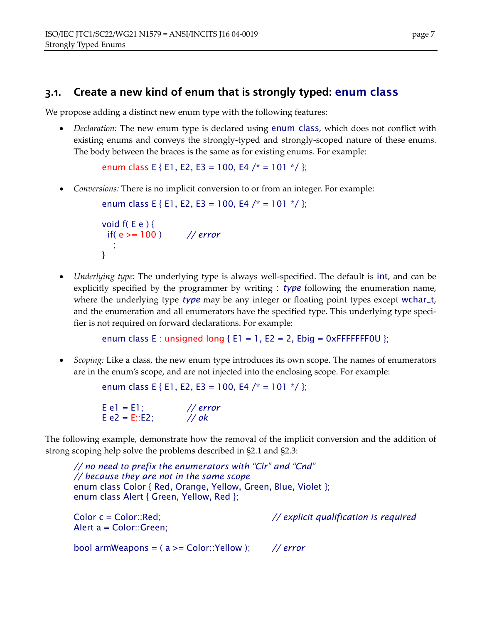### **3.1. Create a new kind of enum that is strongly typed:** enum class

We propose adding a distinct new enum type with the following features:

• *Declaration:* The new enum type is declared using enum class, which does not conflict with existing enums and conveys the strongly-typed and strongly-scoped nature of these enums. The body between the braces is the same as for existing enums. For example:

enum class E { E1, E2, E3 = 100, E4 /\* = 101 \*/ };

• *Conversions:* There is no implicit conversion to or from an integer. For example:

```
enum class E { E1, E2, E3 = 100, E4 /* = 101 */ };
```

```
void f(E e) {
  if( e >= 100 ) // error
\frac{1}{2}}
```
• *Underlying type:* The underlying type is always well-specified. The default is int, and can be explicitly specified by the programmer by writing : *type* following the enumeration name, where the underlying type *type* may be any integer or floating point types except wchar<sub>-t</sub>, and the enumeration and all enumerators have the specified type. This underlying type specifier is not required on forward declarations. For example:

```
enum class E : unsigned long {E1 = 1, E2 = 2, Ebig = 0 \times FFFFFF0U };
```
• *Scoping:* Like a class, the new enum type introduces its own scope. The names of enumerators are in the enumís scope, and are not injected into the enclosing scope. For example:

enum class E { E1, E2, E3 = 100, E4 /\* = 101 \*/ };

```
E e1 = E1; // error
E e2 = E::E2; // ok
```
The following example, demonstrate how the removal of the implicit conversion and the addition of strong scoping help solve the problems described in ß2.1 and ß2.3:

// no need to prefix the enumerators with "Clr" and "Cnd" *// because they are not in the same scope*  enum class Color { Red, Orange, Yellow, Green, Blue, Violet }; enum class Alert { Green, Yellow, Red }; Color c = Color::Red; *// explicit qualification is required* Alert a = Color::Green; bool armWeapons = ( a >= Color::Yellow ); *// error*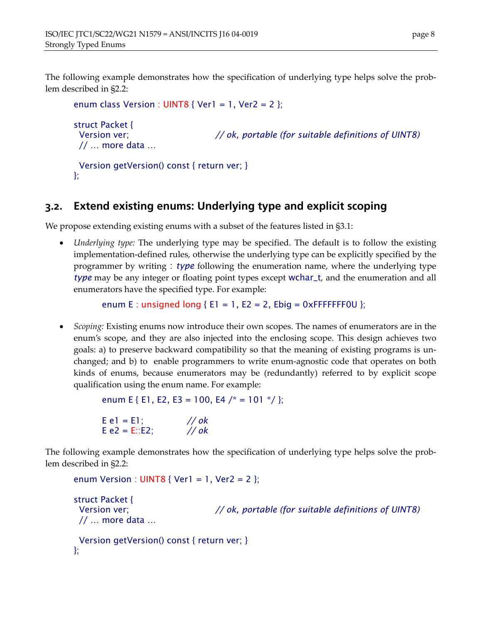The following example demonstrates how the specification of underlying type helps solve the problem described in ß2.2:

```
enum class Version : UINT8 { Ver1 = 1, Ver2 = 2 };
struct Packet { 
  Version ver; // ok, portable (for suitable definitions of UINT8)
 \frac{1}{2} ... more data ...
  Version getVersion() const { return ver; } 
};
```
#### **3.2. Extend existing enums: Underlying type and explicit scoping**

We propose extending existing enums with a subset of the features listed in §3.1:

• *Underlying type:* The underlying type may be specified. The default is to follow the existing implementation-defined rules, otherwise the underlying type can be explicitly specified by the programmer by writing : *type* following the enumeration name, where the underlying type *type* may be any integer or floating point types except wchar\_t, and the enumeration and all enumerators have the specified type. For example:

enum E : unsigned long { $E1 = 1$ ,  $E2 = 2$ ,  $Ebig = 0 \times FFFFFF0U$  };

• *Scoping:* Existing enums now introduce their own scopes. The names of enumerators are in the enumís scope, and they are also injected into the enclosing scope. This design achieves two goals: a) to preserve backward compatibility so that the meaning of existing programs is unchanged; and b) to enable programmers to write enum-agnostic code that operates on both kinds of enums, because enumerators may be (redundantly) referred to by explicit scope qualification using the enum name. For example:

```
enum E { E1, E2, E3 = 100, E4 /* = 101 */ };
```
 $E$  e1 = E1; // *ok* E e2 = E::E2; *// ok* 

The following example demonstrates how the specification of underlying type helps solve the problem described in ß2.2:

```
enum Version : UINT8 { Ver1 = 1, Ver2 = 2 }; 
struct Packet { 
  Version ver; // ok, portable (for suitable definitions of UINT8)
 // ... more data ... Version getVersion() const { return ver; } 
};
```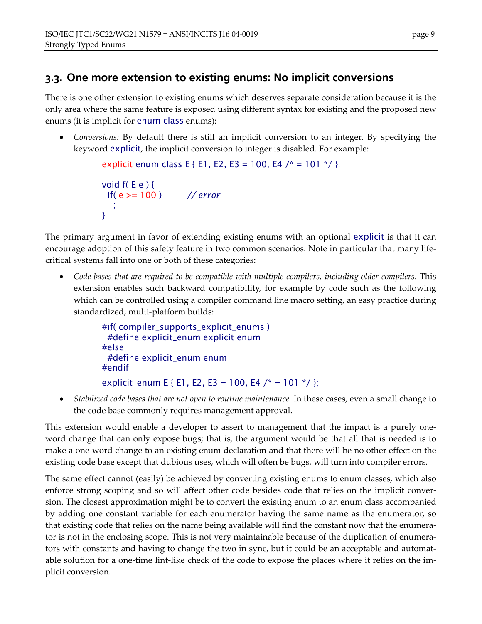### **3.3. One more extension to existing enums: No implicit conversions**

There is one other extension to existing enums which deserves separate consideration because it is the only area where the same feature is exposed using different syntax for existing and the proposed new enums (it is implicit for enum class enums):

• *Conversions:* By default there is still an implicit conversion to an integer. By specifying the keyword explicit, the implicit conversion to integer is disabled. For example:

```
explicit enum class E { E1, E2, E3 = 100, E4 /* = 101 */ };
void f(E e) {
  if( e >= 100 ) // error
\frac{1}{2}}
```
The primary argument in favor of extending existing enums with an optional explicit is that it can encourage adoption of this safety feature in two common scenarios. Note in particular that many lifecritical systems fall into one or both of these categories:

• *Code bases that are required to be compatible with multiple compilers, including older compilers.* This extension enables such backward compatibility, for example by code such as the following which can be controlled using a compiler command line macro setting, an easy practice during standardized, multi-platform builds:

```
#if( compiler_supports_explicit_enums ) 
  #define explicit_enum explicit enum 
#else 
  #define explicit_enum enum 
#endif 
explicit_enum E { E1, E2, E3 = 100, E4 /* = 101 */ };
```
• *Stabilized code bases that are not open to routine maintenance.* In these cases, even a small change to the code base commonly requires management approval.

This extension would enable a developer to assert to management that the impact is a purely oneword change that can only expose bugs; that is, the argument would be that all that is needed is to make a one-word change to an existing enum declaration and that there will be no other effect on the existing code base except that dubious uses, which will often be bugs, will turn into compiler errors.

The same effect cannot (easily) be achieved by converting existing enums to enum classes, which also enforce strong scoping and so will affect other code besides code that relies on the implicit conversion. The closest approximation might be to convert the existing enum to an enum class accompanied by adding one constant variable for each enumerator having the same name as the enumerator, so that existing code that relies on the name being available will find the constant now that the enumerator is not in the enclosing scope. This is not very maintainable because of the duplication of enumerators with constants and having to change the two in sync, but it could be an acceptable and automatable solution for a one-time lint-like check of the code to expose the places where it relies on the implicit conversion.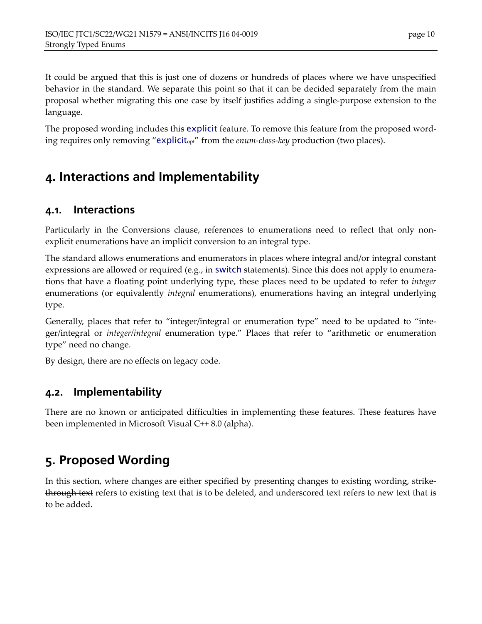It could be argued that this is just one of dozens or hundreds of places where we have unspecified behavior in the standard. We separate this point so that it can be decided separately from the main proposal whether migrating this one case by itself justifies adding a single-purpose extension to the language.

The proposed wording includes this explicit feature. To remove this feature from the proposed wording requires only removing "explicit<sub>opt</sub>" from the *enum-class-key* production (two places).

## **4. Interactions and Implementability**

#### **4.1. Interactions**

Particularly in the Conversions clause, references to enumerations need to reflect that only nonexplicit enumerations have an implicit conversion to an integral type.

The standard allows enumerations and enumerators in places where integral and/or integral constant expressions are allowed or required (e.g., in switch statements). Since this does not apply to enumerations that have a floating point underlying type, these places need to be updated to refer to *integer* enumerations (or equivalently *integral* enumerations), enumerations having an integral underlying type.

Generally, places that refer to "integer/integral or enumeration type" need to be updated to "integer/integral or *integer/integral* enumeration type." Places that refer to "arithmetic or enumeration type" need no change.

By design, there are no effects on legacy code.

#### **4.2. Implementability**

There are no known or anticipated difficulties in implementing these features. These features have been implemented in Microsoft Visual C++ 8.0 (alpha).

## **5. Proposed Wording**

In this section, where changes are either specified by presenting changes to existing wording, strikethrough text refers to existing text that is to be deleted, and underscored text refers to new text that is to be added.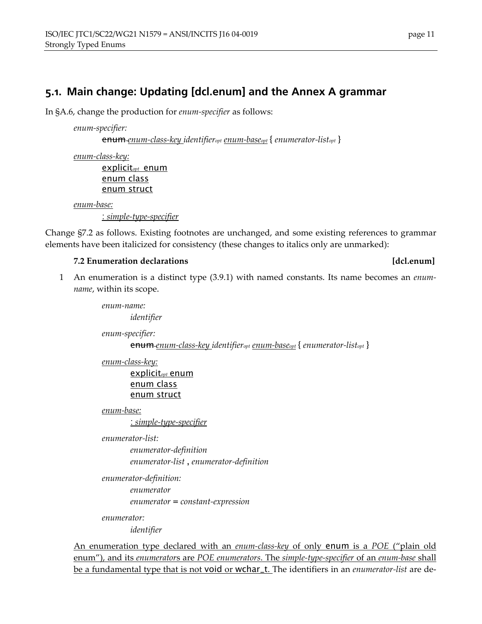### **5.1. Main change: Updating [dcl.enum] and the Annex A grammar**

In ßA.6, change the production for *enum-specifier* as follows:

*enum-specifier:* 

enum *enum-class-key identifieropt enum-baseopt* { *enumerator-listopt* }

*enum-class-key:*

explicit*opt* enum enum class enum struct

*enum-base:*

: *simple-type-specifier*

Change ß7.2 as follows. Existing footnotes are unchanged, and some existing references to grammar elements have been italicized for consistency (these changes to italics only are unmarked):

#### **7.2 Enumeration declarations [dcl.enum]**

1 An enumeration is a distinct type (3.9.1) with named constants. Its name becomes an *enumname*, within its scope.

> *enum-name: identifier enum-specifier:*

enum *enum-class-key identifieropt enum-baseopt* { *enumerator-listopt* }

*enum-class-key:*

explicit*opt* enum enum class enum struct

*enum-base:*

: *simple-type-specifier*

*enumerator-list:* 

*enumerator-definition enumerator-list* , *enumerator-definition* 

```
enumerator-definition: 
        enumerator 
        enumerator = constant-expression
```
*enumerator:* 

*identifier* 

An enumeration type declared with an *enum-class-key* of only **enum** is a *POE* ("plain old enumî), and its *enumerator*s are *POE enumerators*. The *simple-type-specifier* of an *enum-base* shall be a fundamental type that is not void or wchar\_t. The identifiers in an *enumerator-list* are de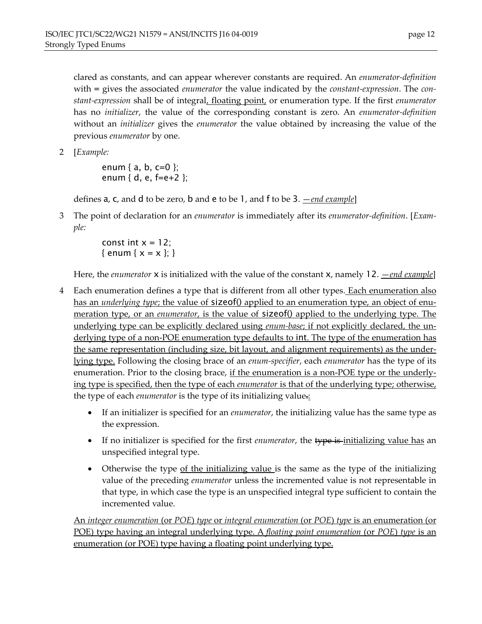clared as constants, and can appear wherever constants are required. An *enumerator-definition* with = gives the associated *enumerator* the value indicated by the *constant-expression*. The *constant-expression* shall be of integral, floating point, or enumeration type. If the first *enumerator* has no *initializer*, the value of the corresponding constant is zero. An *enumerator-definition* without an *initializer* gives the *enumerator* the value obtained by increasing the value of the previous *enumerator* by one.

2 [*Example:*

enum {  $a, b, c=0$  }; enum { d, e, f=e+2 };

defines  $a$ ,  $c$ , and  $d$  to be zero,  $b$  and  $e$  to be 1, and  $f$  to be 3. *<u>end example</u>*]

3 The point of declaration for an *enumerator* is immediately after its *enumerator-definition*. [*Example:*

> const int  $x = 12$ ; { enum {  $x = x$  }; }

Here, the *enumerator* **x** is initialized with the value of the constant **x**, namely 12. <u>—end example</u>]

- 4 Each enumeration defines a type that is different from all other types. Each enumeration also has an *underlying type*; the value of **sizeof**() applied to an enumeration type, an object of enumeration type, or an *enumerator*, is the value of sizeof() applied to the underlying type. The underlying type can be explicitly declared using *enum-base*; if not explicitly declared, the underlying type of a non-POE enumeration type defaults to int. The type of the enumeration has the same representation (including size, bit layout, and alignment requirements) as the underlying type. Following the closing brace of an *enum-specifier*, each *enumerator* has the type of its enumeration. Prior to the closing brace, if the enumeration is a non-POE type or the underlying type is specified, then the type of each *enumerator* is that of the underlying type; otherwise, the type of each *enumerator* is the type of its initializing value.:
	- If an initializer is specified for an *enumerator*, the initializing value has the same type as the expression.
	- If no initializer is specified for the first *enumerator*, the type is-initializing value has an unspecified integral type.
	- Otherwise the type of the initializing value is the same as the type of the initializing value of the preceding *enumerator* unless the incremented value is not representable in that type, in which case the type is an unspecified integral type sufficient to contain the incremented value.

An *integer enumeration* (or *POE*) *type* or *integral enumeration* (or *POE*) *type* is an enumeration (or POE) type having an integral underlying type. A *floating point enumeration* (or *POE*) *type* is an enumeration (or POE) type having a floating point underlying type.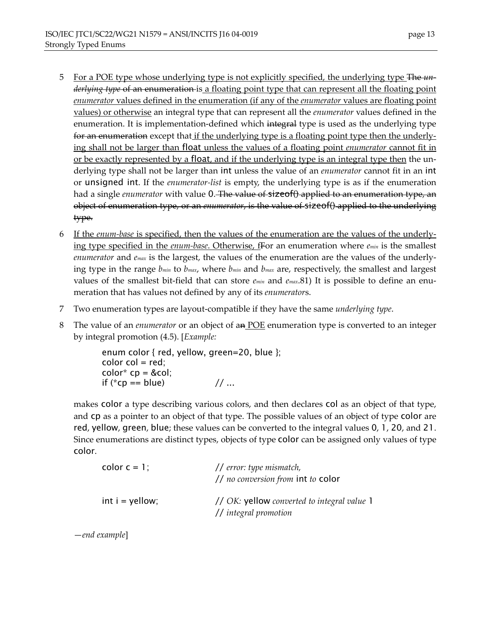- 5 For a POE type whose underlying type is not explicitly specified, the underlying type The *underlying type* of an enumeration is a floating point type that can represent all the floating point *enumerator* values defined in the enumeration (if any of the *enumerator* values are floating point values) or otherwise an integral type that can represent all the *enumerator* values defined in the enumeration. It is implementation-defined which integral type is used as the underlying type for an enumeration except that if the underlying type is a floating point type then the underlying shall not be larger than float unless the values of a floating point *enumerator* cannot fit in or be exactly represented by a float, and if the underlying type is an integral type then the underlying type shall not be larger than int unless the value of an *enumerator* cannot fit in an int or unsigned int. If the *enumerator-list* is empty, the underlying type is as if the enumeration had a single *enumerator* with value 0. The value of sizeof() applied to an enumeration type, an object of enumeration type, or an *enumerator*, is the value of sizeof() applied to the underlying type.
- 6 If the *enum-base* is specified, then the values of the enumeration are the values of the underlying type specified in the *enum-base*. Otherwise, fFor an enumeration where *emin* is the smallest *enumerator* and *emax* is the largest, the values of the enumeration are the values of the underlying type in the range *bmin* to *bmax*, where *bmin* and *bmax* are, respectively, the smallest and largest values of the smallest bit-field that can store *emin* and *emax*.81) It is possible to define an enumeration that has values not defined by any of its *enumerator*s.
- 7 Two enumeration types are layout-compatible if they have the same *underlying type*.
- 8 The value of an *enumerator* or an object of an POE enumeration type is converted to an integer by integral promotion (4.5). [*Example:*

enum color { red, yellow, green=20, blue };  $color col = red;$  $color*{red}{color}$  color<sup>\*</sup>  $cp = & col;$ if (\*cp == blue)  $// ...$ 

makes color a type describing various colors, and then declares col as an object of that type, and cp as a pointer to an object of that type. The possible values of an object of type color are red, yellow, green, blue; these values can be converted to the integral values 0, 1, 20, and 21. Since enumerations are distinct types, objects of type color can be assigned only values of type color.

| color $c = 1$ ;   | $\frac{1}{\ell}$ error: type mismatch,<br>$\frac{1}{10}$ no conversion from int to color |
|-------------------|------------------------------------------------------------------------------------------|
| $int i =$ yellow; | // OK: yellow converted to integral value 1<br>// integral promotion                     |

ó*end example*]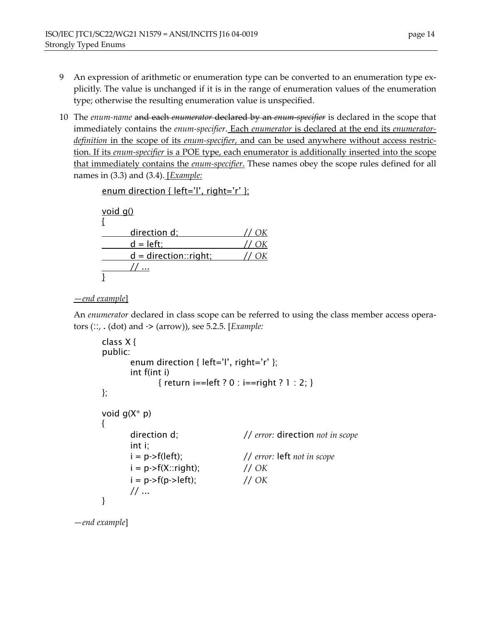- 9 An expression of arithmetic or enumeration type can be converted to an enumeration type explicitly. The value is unchanged if it is in the range of enumeration values of the enumeration type; otherwise the resulting enumeration value is unspecified.
- 10 The *enum-name* and each *enumerator* declared by an *enum-specifier* is declared in the scope that immediately contains the *enum-specifier*. Each *enumerator* is declared at the end its *enumeratordefinition* in the scope of its *enum-specifier*, and can be used anywhere without access restriction. If its *enum-specifier* is a POE type, each enumerator is additionally inserted into the scope that immediately contains the *enum-specifier*. These names obey the scope rules defined for all names in (3.3) and (3.4). [*Example:*

```
enum direction { left='l', right='r' };
void g()
{
      direction d; // OK
      d = left; // OK
      d = direction::right; // OK
       // ...
}
```
ó*end example*]

An *enumerator* declared in class scope can be referred to using the class member access operators (::, . (dot) and -> (arrow)), see 5.2.5. [*Example:* 

```
class X { 
public: 
       enum direction { left='l', right='r' };
        int f(int i) 
               { return i==left ? 0 : i==right ? 1 : 2; } 
}; 
void g(X^* p){ 
        direction d; // error: direction not in scope
        int i; 
        i = p->f(left); // error: left not in scope
       i = p \rightarrow f(X::right); // OK
       i = p > f(p > left); // OK
        // ... 
}
```
ó*end example*]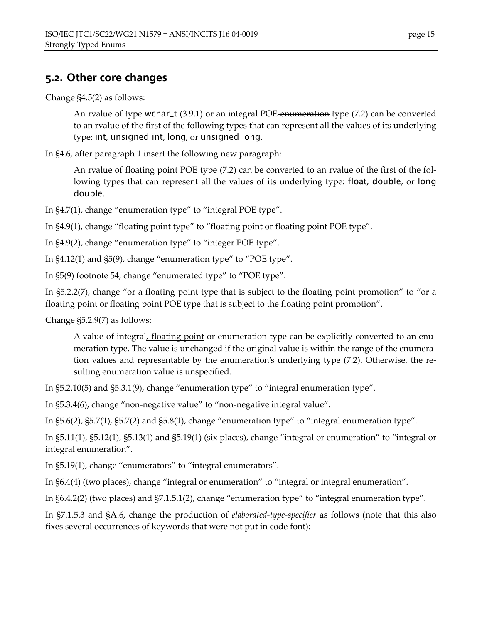### **5.2. Other core changes**

Change ß4.5(2) as follows:

An rvalue of type wchar\_t  $(3.9.1)$  or an integral POE-enumeration type  $(7.2)$  can be converted to an rvalue of the first of the following types that can represent all the values of its underlying type: int, unsigned int, long, or unsigned long.

In ß4.6, after paragraph 1 insert the following new paragraph:

An rvalue of floating point POE type (7.2) can be converted to an rvalue of the first of the following types that can represent all the values of its underlying type: float, double, or long double.

In  $\S4.7(1)$ , change "enumeration type" to "integral POE type".

In §4.9(1), change "floating point type" to "floating point or floating point POE type".

In  $\S4.9(2)$ , change "enumeration type" to "integer POE type".

In  $\S4.12(1)$  and  $\S5(9)$ , change "enumeration type" to "POE type".

In §5(9) footnote 54, change "enumerated type" to "POE type".

In  $\S$ 5.2.2(7), change "or a floating point type that is subject to the floating point promotion" to "or a floating point or floating point POE type that is subject to the floating point promotion".

Change ß5.2.9(7) as follows:

A value of integral, floating point or enumeration type can be explicitly converted to an enumeration type. The value is unchanged if the original value is within the range of the enumeration values and representable by the enumeration's underlying type (7.2). Otherwise, the resulting enumeration value is unspecified.

In  $\S5.2.10(5)$  and  $\S5.3.1(9)$ , change "enumeration type" to "integral enumeration type".

In  $\S5.3.4(6)$ , change "non-negative value" to "non-negative integral value".

In  $\S5.6(2)$ ,  $\S5.7(1)$ ,  $\S5.7(2)$  and  $\S5.8(1)$ , change "enumeration type" to "integral enumeration type".

In  $\S5.11(1)$ ,  $\S5.12(1)$ ,  $\S5.13(1)$  and  $\S5.19(1)$  (six places), change "integral or enumeration" to "integral or integral enumeration".

In  $\S5.19(1)$ , change "enumerators" to "integral enumerators".

In §6.4(4) (two places), change "integral or enumeration" to "integral or integral enumeration".

In  $\S6.4.2(2)$  (two places) and  $\S7.1.5.1(2)$ , change "enumeration type" to "integral enumeration type".

In ß7.1.5.3 and ßA.6, change the production of *elaborated-type-specifier* as follows (note that this also fixes several occurrences of keywords that were not put in code font):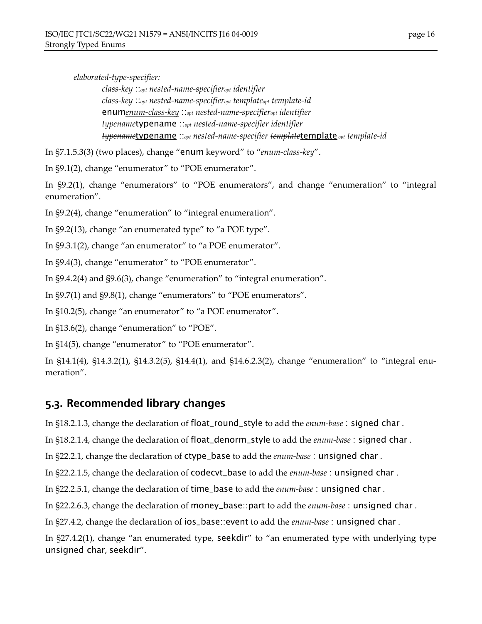*elaborated-type-specifier:* 

*class-key* ::*opt nested-name-specifieropt identifier class-key* ::*opt nested-name-specifieropt templateopt template-id*  enum*enum-class-key* ::*opt nested-name-specifieropt identifier typename*typename ::*opt nested-name-specifier identifier typename*typename ::*opt nested-name-specifier template*template *opt template-id* 

In §7.1.5.3(3) (two places), change "enum keyword" to "enum-class-key".

In §9.1(2), change "enumerator" to "POE enumerator".

In §9.2(1), change "enumerators" to "POE enumerators", and change "enumeration" to "integral enumeration".

In  $\S 9.2(4)$ , change "enumeration" to "integral enumeration".

In  $\S9.2(13)$ , change "an enumerated type" to "a POE type".

In  $\S9.3.1(2)$ , change "an enumerator" to "a POE enumerator".

In §9.4(3), change "enumerator" to "POE enumerator".

In  $\S9.4.2(4)$  and  $\S9.6(3)$ , change "enumeration" to "integral enumeration".

In  $\S9.7(1)$  and  $\S9.8(1)$ , change "enumerators" to "POE enumerators".

In  $$10.2(5)$ , change "an enumerator" to "a POE enumerator".

In  $$13.6(2)$ , change "enumeration" to "POE".

In  $\S14(5)$ , change "enumerator" to "POE enumerator".

In  $$14.1(4)$ ,  $$14.3.2(1)$ ,  $$14.3.2(5)$ ,  $$14.4(1)$ , and  $$14.6.2.3(2)$ , change "enumeration" to "integral enumeration".

#### **5.3. Recommended library changes**

In ß18.2.1.3, change the declaration of float\_round\_style to add the *enum-base* : signed char .

In ß18.2.1.4, change the declaration of float\_denorm\_style to add the *enum-base* : signed char .

In ß22.2.1, change the declaration of ctype\_base to add the *enum-base* : unsigned char .

In ß22.2.1.5, change the declaration of codecvt\_base to add the *enum-base* : unsigned char .

In ß22.2.5.1, change the declaration of time\_base to add the *enum-base* : unsigned char .

In ß22.2.6.3, change the declaration of money\_base::part to add the *enum-base* : unsigned char .

In ß27.4.2, change the declaration of ios\_base::event to add the *enum-base* : unsigned char .

In §27.4.2(1), change "an enumerated type, seekdir" to "an enumerated type with underlying type unsigned char, seekdir".